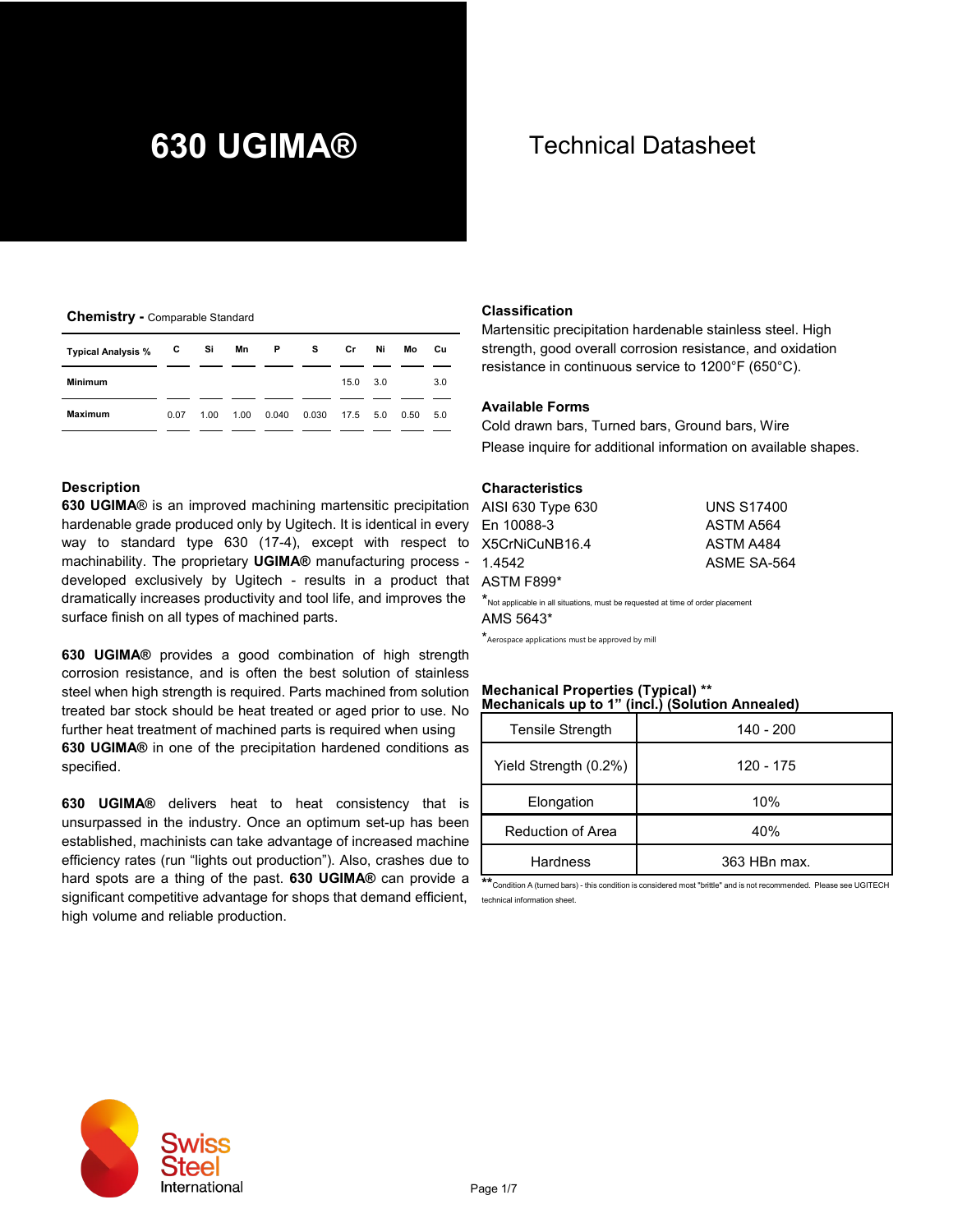#### **Chemistry -** Comparable Standard

| <b>Typical Analysis %</b> | C    | Si   | Mn   | <b>P</b> | s     | Cr              | Ni | Mo   | Cu  |
|---------------------------|------|------|------|----------|-------|-----------------|----|------|-----|
| <b>Minimum</b>            |      |      |      |          |       | $15.0\quad 3.0$ |    |      | 3.0 |
| <b>Maximum</b>            | 0.07 | 1.00 | 1.00 | 0.040    | 0.030 | 17.5 5.0        |    | 0.50 | 5.0 |

#### **Description**

**630 UGIMA**® is an improved machining martensitic precipitation hardenable grade produced only by Ugitech. It is identical in every F way to standard type 630 (17-4), except with respect to machinability. The proprietary **UGIMA®** manufacturing process developed exclusively by Ugitech - results in a product that  $\mu$ dramatically increases productivity and tool life, and improves the surface finish on all types of machined parts.

**630 UGIMA®** provides a good combination of high strength corrosion resistance, and is often the best solution of stainless steel when high strength is required. Parts machined from solution treated bar stock should be heat treated or aged prior to use. No further heat treatment of machined parts is required when using **630 UGIMA®** in one of the precipitation hardened conditions as specified.

**630 UGIMA®** delivers heat to heat consistency that is unsurpassed in the industry. Once an optimum set-up has been established, machinists can take advantage of increased machine efficiency rates (run "lights out production"). Also, crashes due to hard spots are a thing of the past. **630 UGIMA®** can provide a significant competitive advantage for shops that demand efficient, high volume and reliable production.

# **630 UGIMA®** Technical Datasheet

#### **Classification**

Martensitic precipitation hardenable stainless steel. High strength, good overall corrosion resistance, and oxidation resistance in continuous service to 1200°F (650°C).

#### **Available Forms**

Cold drawn bars, Turned bars, Ground bars, Wire Please inquire for additional information on available shapes.

#### **Characteristics**

| AISI 630 Type 630                                                              | <b>UNS S17400</b> |
|--------------------------------------------------------------------------------|-------------------|
| En 10088-3                                                                     | ASTM A564         |
| X5CrNiCuNB16.4                                                                 | ASTM A484         |
| 1.4542                                                                         | ASME SA-564       |
| ASTM F899*                                                                     |                   |
| Not applicable in all situations, must be requested at time of order placement |                   |

AMS 5643\*

 $^{\star}$ Aerospace applications must be approved by mill

# **Mechanical Properties (Typical) \*\* Mechanicals up to 1" (incl.) (Solution Annealed)**

| <b>Tensile Strength</b> | 140 - 200    |
|-------------------------|--------------|
| Yield Strength (0.2%)   | 120 - 175    |
| Elongation              | 10%          |
| Reduction of Area       | 40%          |
| <b>Hardness</b>         | 363 HBn max. |

**\*\***Condition A (turned bars) - this condition is considered most "brittle" and is not recommended. Please see UGITECH technical information sheet.

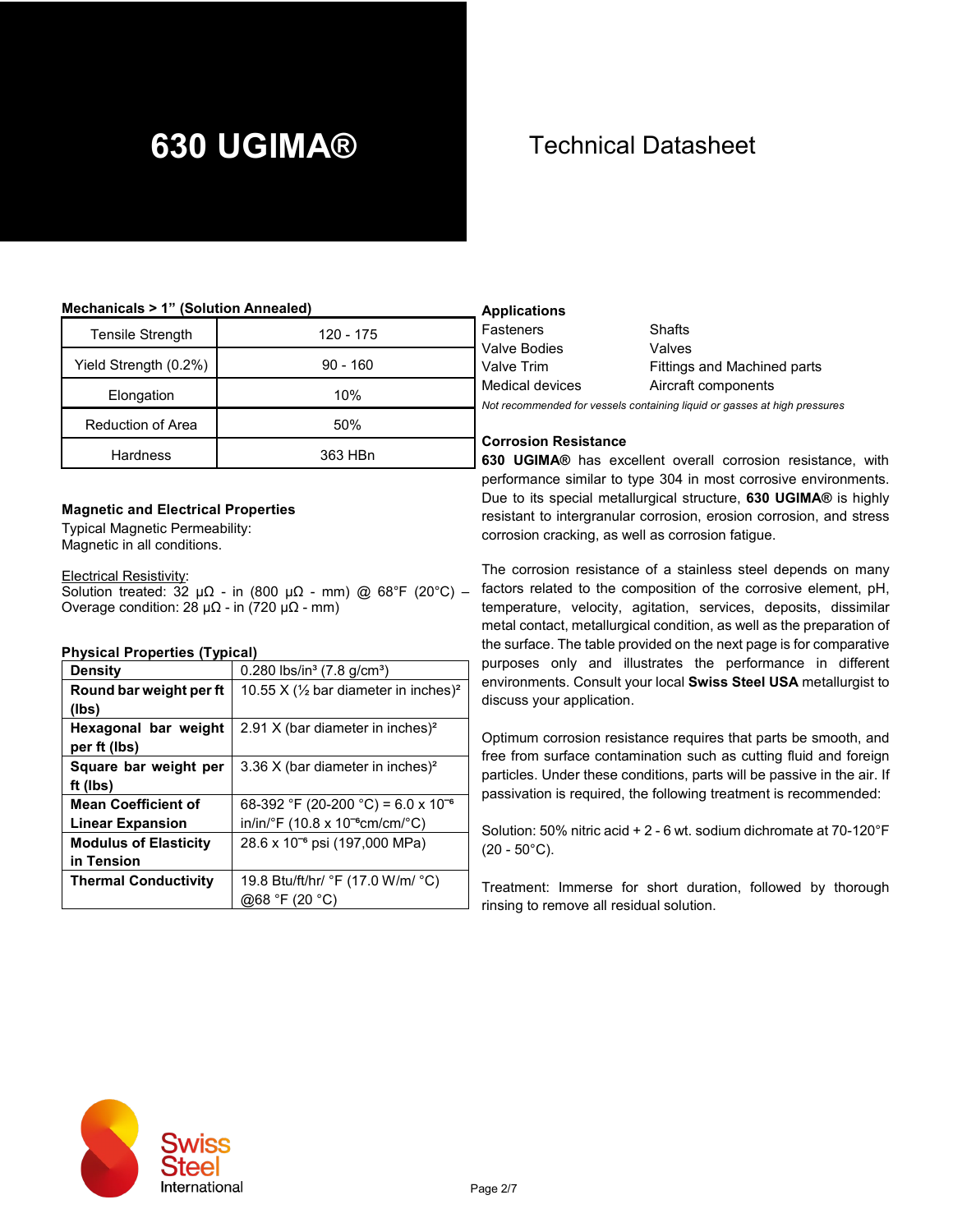#### **Mechanicals > 1" (Solution Annealed)**

| <b>Tensile Strength</b> | 120 - 175  | F.<br>V             |
|-------------------------|------------|---------------------|
| Yield Strength (0.2%)   | $90 - 160$ | V                   |
| Elongation              | 10%        | M<br>N <sub>0</sub> |
| Reduction of Area       | 50%        |                     |
| <b>Hardness</b>         | 363 HBn    | C<br>63             |

#### **Magnetic and Electrical Properties**

Typical Magnetic Permeability: Magnetic in all conditions.

#### Electrical Resistivity:

Solution treated: 32 μΩ - in (800 μΩ - mm) @ 68°F (20°C) – Overage condition:  $28 \mu\Omega$  - in (720 μ $\Omega$  - mm)

#### **Physical Properties (Typical)**

| <b>Density</b>               | 0.280 lbs/in <sup>3</sup> (7.8 g/cm <sup>3</sup> )          |
|------------------------------|-------------------------------------------------------------|
| Round bar weight per ft      | 10.55 X $(\frac{1}{2}$ bar diameter in inches) <sup>2</sup> |
| (Ibs)                        |                                                             |
| Hexagonal bar weight         | 2.91 X (bar diameter in inches) <sup>2</sup>                |
| per ft (lbs)                 |                                                             |
| Square bar weight per        | 3.36 X (bar diameter in inches) <sup>2</sup>                |
| ft (lbs)                     |                                                             |
| <b>Mean Coefficient of</b>   | 68-392 °F (20-200 °C) = 6.0 x 10 <sup>-6</sup>              |
| <b>Linear Expansion</b>      | in/in/°F (10.8 x 10 <sup>-6</sup> cm/cm/°C)                 |
| <b>Modulus of Elasticity</b> | 28.6 x 10 <sup>-6</sup> psi (197,000 MPa)                   |
| in Tension                   |                                                             |
| <b>Thermal Conductivity</b>  | 19.8 Btu/ft/hr/ °F (17.0 W/m/ °C)                           |
|                              | @68 °F (20 °C)                                              |

### **Applications**

| Fasteners                                                                 | Shafts                      |  |  |  |  |
|---------------------------------------------------------------------------|-----------------------------|--|--|--|--|
| Valve Bodies                                                              | Valves                      |  |  |  |  |
| Valve Trim                                                                | Fittings and Machined parts |  |  |  |  |
| Medical devices                                                           | Aircraft components         |  |  |  |  |
| Not recommended for vessels containing liquid or gasses at high pressures |                             |  |  |  |  |

#### **Corrosion Resistance**

**630 UGIMA®** has excellent overall corrosion resistance, with performance similar to type 304 in most corrosive environments. Due to its special metallurgical structure, **630 UGIMA®** is highly resistant to intergranular corrosion, erosion corrosion, and stress corrosion cracking, as well as corrosion fatigue.

The corrosion resistance of a stainless steel depends on many factors related to the composition of the corrosive element, pH, temperature, velocity, agitation, services, deposits, dissimilar metal contact, metallurgical condition, as well as the preparation of the surface. The table provided on the next page is for comparative purposes only and illustrates the performance in different environments. Consult your local **Swiss Steel USA** metallurgist to discuss your application.

Optimum corrosion resistance requires that parts be smooth, and free from surface contamination such as cutting fluid and foreign particles. Under these conditions, parts will be passive in the air. If passivation is required, the following treatment is recommended:

Solution: 50% nitric acid + 2 - 6 wt. sodium dichromate at 70-120°F  $(20 - 50^{\circ}C)$ .

Treatment: Immerse for short duration, followed by thorough rinsing to remove all residual solution.

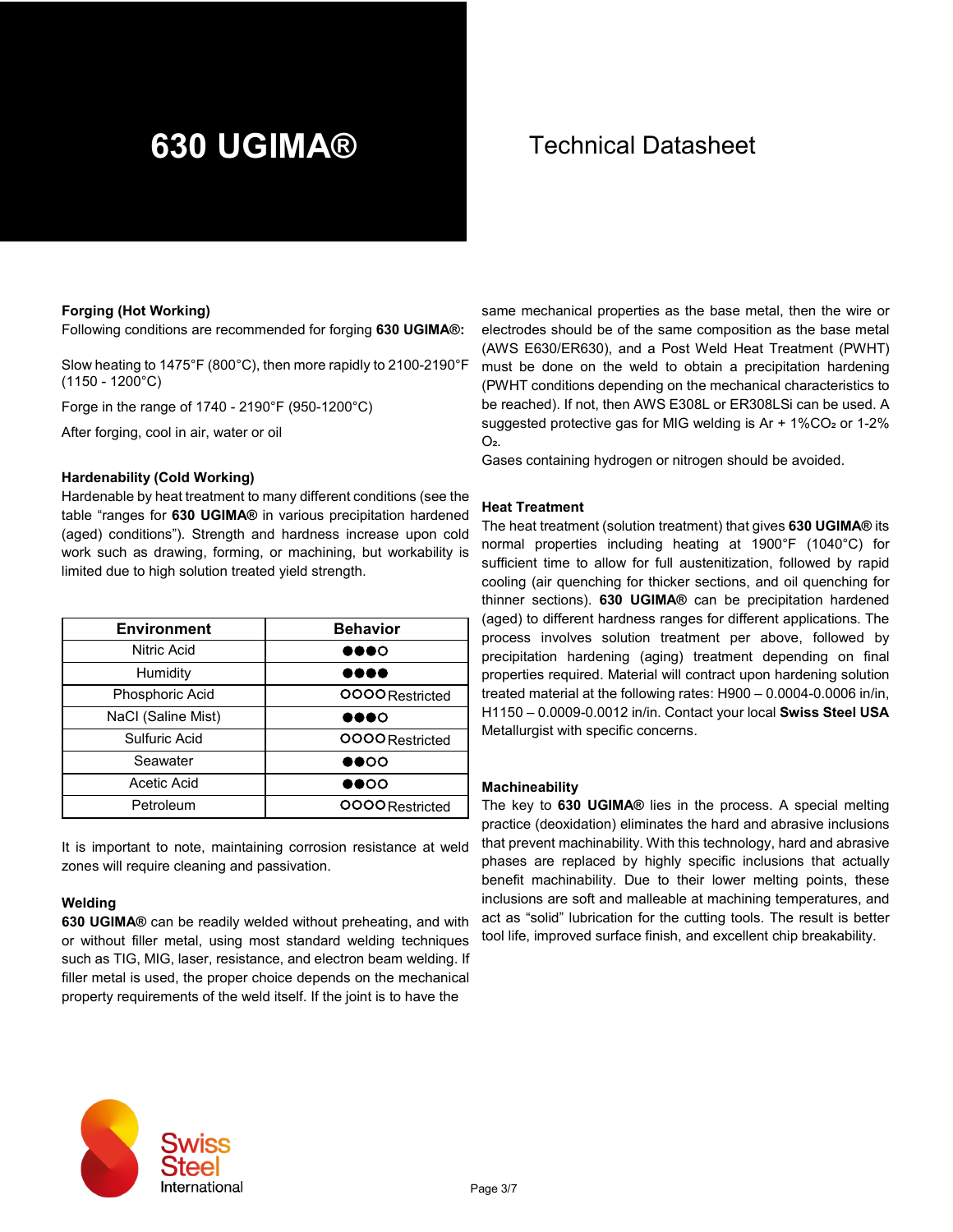#### **Forging (Hot Working)**

Following conditions are recommended for forging **630 UGIMA®:**

Slow heating to 1475°F (800°C), then more rapidly to 2100-2190°F (1150 - 1200°C)

Forge in the range of 1740 - 2190°F (950-1200°C)

After forging, cool in air, water or oil

#### **Hardenability (Cold Working)**

Hardenable by heat treatment to many different conditions (see the table "ranges for **630 UGIMA®** in various precipitation hardened (aged) conditions"). Strength and hardness increase upon cold work such as drawing, forming, or machining, but workability is limited due to high solution treated yield strength.

| <b>Environment</b> | <b>Behavior</b>              |
|--------------------|------------------------------|
| Nitric Acid        | $\bullet\bullet\bullet\circ$ |
| Humidity           |                              |
| Phosphoric Acid    | OOOO Restricted              |
| NaCl (Saline Mist) | $\bullet\bullet\bullet\circ$ |
| Sulfuric Acid      | <b>OOOO</b> Restricted       |
| Seawater           | $\bullet\bullet\circ\circ$   |
| Acetic Acid        | $\bullet\bullet\circ\circ$   |
| Petroleum          | OOOO Restricted              |

It is important to note, maintaining corrosion resistance at weld zones will require cleaning and passivation.

#### **Welding**

**630 UGIMA®** can be readily welded without preheating, and with or without filler metal, using most standard welding techniques such as TIG, MIG, laser, resistance, and electron beam welding. If filler metal is used, the proper choice depends on the mechanical property requirements of the weld itself. If the joint is to have the

same mechanical properties as the base metal, then the wire or electrodes should be of the same composition as the base metal (AWS E630/ER630), and a Post Weld Heat Treatment (PWHT) must be done on the weld to obtain a precipitation hardening (PWHT conditions depending on the mechanical characteristics to be reached). If not, then AWS E308L or ER308LSi can be used. A suggested protective gas for MIG welding is Ar + 1%CO<sub>2</sub> or 1-2%  $O<sub>2</sub>$ 

Gases containing hydrogen or nitrogen should be avoided.

#### **Heat Treatment**

The heat treatment (solution treatment) that gives **630 UGIMA®** its normal properties including heating at 1900°F (1040°C) for sufficient time to allow for full austenitization, followed by rapid cooling (air quenching for thicker sections, and oil quenching for thinner sections). **630 UGIMA®** can be precipitation hardened (aged) to different hardness ranges for different applications. The process involves solution treatment per above, followed by precipitation hardening (aging) treatment depending on final properties required. Material will contract upon hardening solution treated material at the following rates: H900 – 0.0004-0.0006 in/in, H1150 – 0.0009-0.0012 in/in. Contact your local **Swiss Steel USA** Metallurgist with specific concerns.

#### **Machineability**

The key to **630 UGIMA®** lies in the process. A special melting practice (deoxidation) eliminates the hard and abrasive inclusions that prevent machinability. With this technology, hard and abrasive phases are replaced by highly specific inclusions that actually benefit machinability. Due to their lower melting points, these inclusions are soft and malleable at machining temperatures, and act as "solid" lubrication for the cutting tools. The result is better tool life, improved surface finish, and excellent chip breakability.

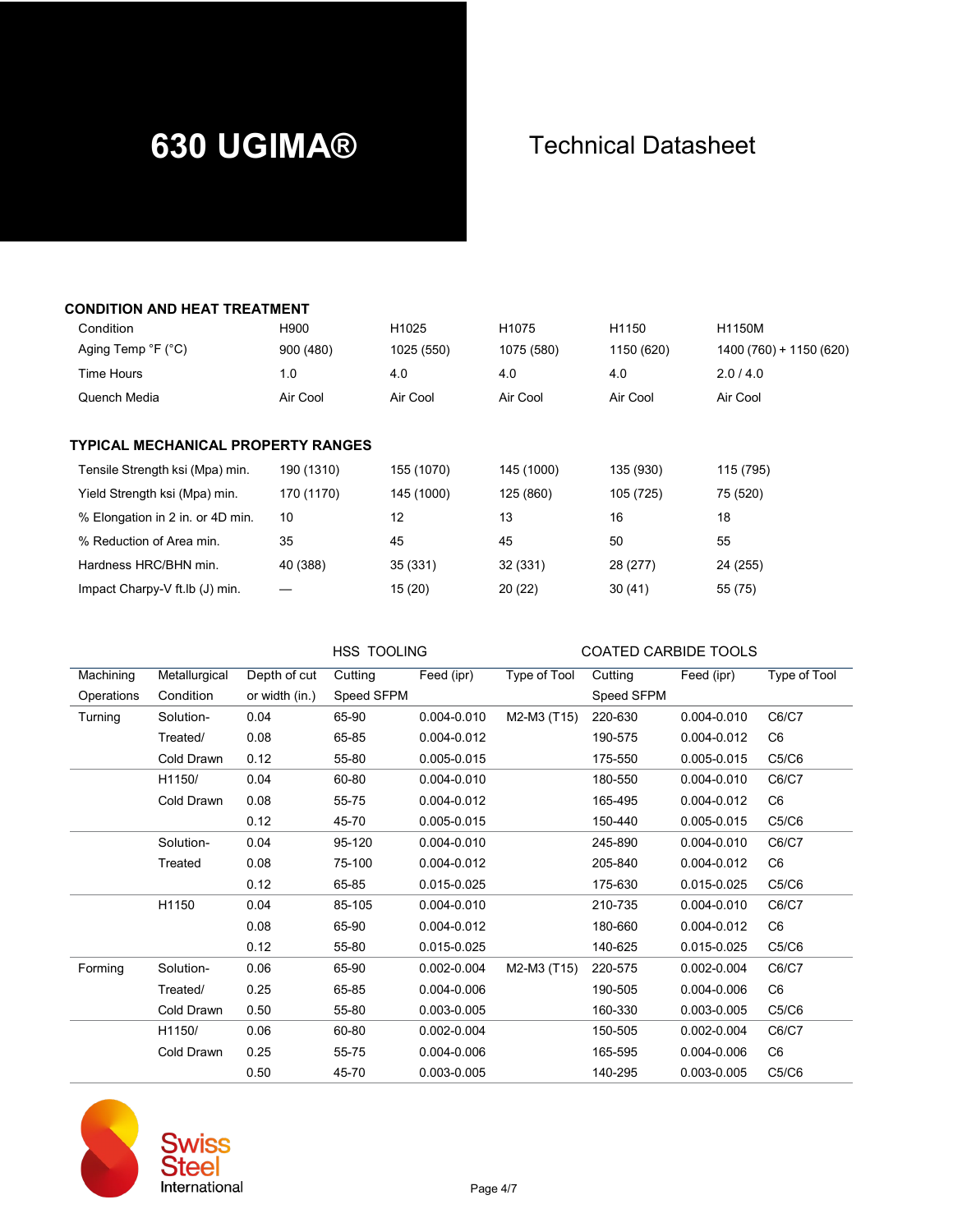### **CONDITION AND HEAT TREATMENT**

| Condition                                 | H900       | H1025      | H1075      | H1150      | H1150M                  |
|-------------------------------------------|------------|------------|------------|------------|-------------------------|
| Aging Temp $\degree$ F ( $\degree$ C)     | 900 (480)  | 1025 (550) | 1075 (580) | 1150 (620) | 1400 (760) + 1150 (620) |
| Time Hours                                | 1.0        | 4.0        | 4.0        | 4.0        | 2.0/4.0                 |
| Quench Media                              | Air Cool   | Air Cool   | Air Cool   | Air Cool   | Air Cool                |
|                                           |            |            |            |            |                         |
| <b>TYPICAL MECHANICAL PROPERTY RANGES</b> |            |            |            |            |                         |
| Tensile Strength ksi (Mpa) min.           | 190 (1310) | 155 (1070) | 145 (1000) | 135 (930)  | 115 (795)               |
| Yield Strength ksi (Mpa) min.             | 170 (1170) | 145 (1000) | 125 (860)  | 105 (725)  | 75 (520)                |
| % Elongation in 2 in. or 4D min.          | 10         | 12         | 13         | 16         | 18                      |
| % Reduction of Area min.                  | 35         | 45         | 45         | 50         | 55                      |
| Hardness HRC/BHN min.                     | 40 (388)   | 35 (331)   | 32 (331)   | 28 (277)   | 24 (255)                |
| Impact Charpy-V ft Ib (J) min.            |            | 15(20)     | 20(22)     | 30(41)     | 55 (75)                 |

HSS TOOLING COATED CARBIDE TOOLS

| Machining  | Metallurgical | Depth of cut   | Cutting    | Feed (ipr)  | <b>Type of Tool</b> | Cutting    | Feed (ipr)  | Type of Tool   |
|------------|---------------|----------------|------------|-------------|---------------------|------------|-------------|----------------|
| Operations | Condition     | or width (in.) | Speed SFPM |             |                     | Speed SFPM |             |                |
| Turning    | Solution-     | 0.04           | 65-90      | 0.004-0.010 | M2-M3 (T15)         | 220-630    | 0.004-0.010 | C6/C7          |
|            | Treated/      | 0.08           | 65-85      | 0.004-0.012 |                     | 190-575    | 0.004-0.012 | C <sub>6</sub> |
|            | Cold Drawn    | 0.12           | 55-80      | 0.005-0.015 |                     | 175-550    | 0.005-0.015 | C5/C6          |
|            | H1150/        | 0.04           | 60-80      | 0.004-0.010 |                     | 180-550    | 0.004-0.010 | C6/C7          |
|            | Cold Drawn    | 0.08           | 55-75      | 0.004-0.012 |                     | 165-495    | 0.004-0.012 | C <sub>6</sub> |
|            |               | 0.12           | 45-70      | 0.005-0.015 |                     | 150-440    | 0.005-0.015 | C5/C6          |
|            | Solution-     | 0.04           | 95-120     | 0.004-0.010 |                     | 245-890    | 0.004-0.010 | C6/C7          |
|            | Treated       | 0.08           | 75-100     | 0.004-0.012 |                     | 205-840    | 0.004-0.012 | C <sub>6</sub> |
|            |               | 0.12           | 65-85      | 0.015-0.025 |                     | 175-630    | 0.015-0.025 | C5/C6          |
|            | H1150         | 0.04           | 85-105     | 0.004-0.010 |                     | 210-735    | 0.004-0.010 | C6/C7          |
|            |               | 0.08           | 65-90      | 0.004-0.012 |                     | 180-660    | 0.004-0.012 | C <sub>6</sub> |
|            |               | 0.12           | 55-80      | 0.015-0.025 |                     | 140-625    | 0.015-0.025 | C5/C6          |
| Forming    | Solution-     | 0.06           | 65-90      | 0.002-0.004 | M2-M3 (T15)         | 220-575    | 0.002-0.004 | C6/C7          |
|            | Treated/      | 0.25           | 65-85      | 0.004-0.006 |                     | 190-505    | 0.004-0.006 | C <sub>6</sub> |
|            | Cold Drawn    | 0.50           | 55-80      | 0.003-0.005 |                     | 160-330    | 0.003-0.005 | C5/C6          |
|            | H1150/        | 0.06           | 60-80      | 0.002-0.004 |                     | 150-505    | 0.002-0.004 | C6/C7          |
|            | Cold Drawn    | 0.25           | 55-75      | 0.004-0.006 |                     | 165-595    | 0.004-0.006 | C <sub>6</sub> |
|            |               | 0.50           | 45-70      | 0.003-0.005 |                     | 140-295    | 0.003-0.005 | C5/C6          |



**SS**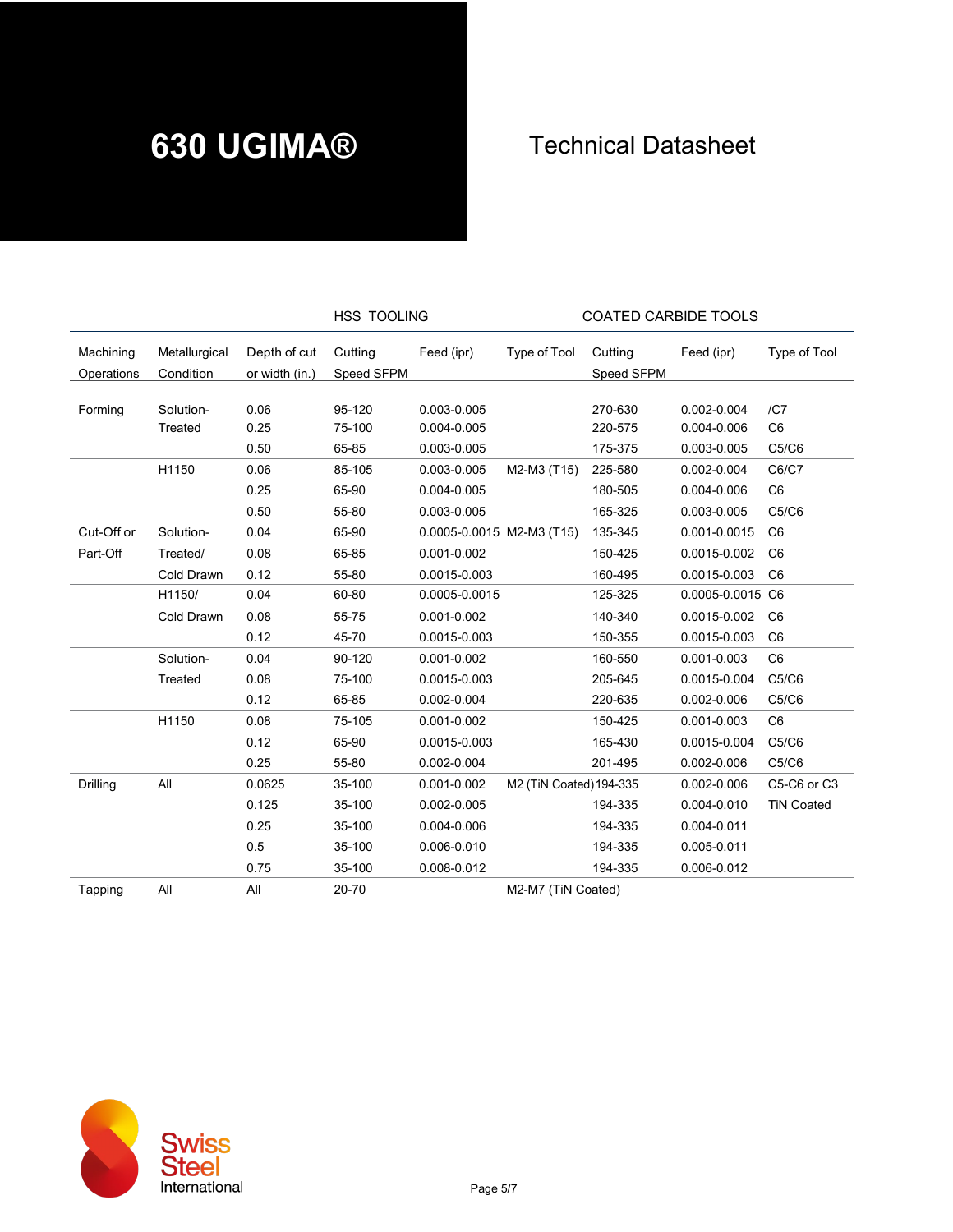|                         |                            |                                | HSS TOOLING           |                           |                         | <b>COATED CARBIDE TOOLS</b> |                  |                   |
|-------------------------|----------------------------|--------------------------------|-----------------------|---------------------------|-------------------------|-----------------------------|------------------|-------------------|
| Machining<br>Operations | Metallurgical<br>Condition | Depth of cut<br>or width (in.) | Cutting<br>Speed SFPM | Feed (ipr)                | Type of Tool            | Cutting<br>Speed SFPM       | Feed (ipr)       | Type of Tool      |
|                         |                            |                                |                       |                           |                         |                             |                  |                   |
| Forming                 | Solution-                  | 0.06                           | 95-120                | 0.003-0.005               |                         | 270-630                     | 0.002-0.004      | /CI               |
|                         | Treated                    | 0.25                           | 75-100                | 0.004-0.005               |                         | 220-575                     | 0.004-0.006      | C <sub>6</sub>    |
|                         |                            | 0.50                           | 65-85                 | 0.003-0.005               |                         | 175-375                     | 0.003-0.005      | C5/C6             |
|                         | H1150                      | 0.06                           | 85-105                | 0.003-0.005               | M2-M3 (T15)             | 225-580                     | 0.002-0.004      | C6/C7             |
|                         |                            | 0.25                           | 65-90                 | 0.004-0.005               |                         | 180-505                     | 0.004-0.006      | C <sub>6</sub>    |
|                         |                            | 0.50                           | 55-80                 | 0.003-0.005               |                         | 165-325                     | 0.003-0.005      | C5/C6             |
| Cut-Off or              | Solution-                  | 0.04                           | 65-90                 | 0.0005-0.0015 M2-M3 (T15) |                         | 135-345                     | 0.001-0.0015     | C <sub>6</sub>    |
| Part-Off                | Treated/                   | 0.08                           | 65-85                 | 0.001-0.002               |                         | 150-425                     | 0.0015-0.002     | C <sub>6</sub>    |
|                         | Cold Drawn                 | 0.12                           | 55-80                 | 0.0015-0.003              |                         | 160-495                     | 0.0015-0.003     | C <sub>6</sub>    |
|                         | H1150/                     | 0.04                           | 60-80                 | 0.0005-0.0015             |                         | 125-325                     | 0.0005-0.0015 C6 |                   |
|                         | Cold Drawn                 | 0.08                           | 55-75                 | 0.001-0.002               |                         | 140-340                     | 0.0015-0.002     | C <sub>6</sub>    |
|                         |                            | 0.12                           | 45-70                 | 0.0015-0.003              |                         | 150-355                     | 0.0015-0.003     | C <sub>6</sub>    |
|                         | Solution-                  | 0.04                           | 90-120                | 0.001-0.002               |                         | 160-550                     | 0.001-0.003      | C <sub>6</sub>    |
|                         | Treated                    | 0.08                           | 75-100                | 0.0015-0.003              |                         | 205-645                     | 0.0015-0.004     | C5/C6             |
|                         |                            | 0.12                           | 65-85                 | 0.002-0.004               |                         | 220-635                     | 0.002-0.006      | C5/C6             |
|                         | H1150                      | 0.08                           | 75-105                | 0.001-0.002               |                         | 150-425                     | 0.001-0.003      | C <sub>6</sub>    |
|                         |                            | 0.12                           | 65-90                 | 0.0015-0.003              |                         | 165-430                     | 0.0015-0.004     | C5/C6             |
|                         |                            | 0.25                           | 55-80                 | 0.002-0.004               |                         | 201-495                     | 0.002-0.006      | C5/C6             |
| Drilling                | All                        | 0.0625                         | 35-100                | $0.001 - 0.002$           | M2 (TiN Coated) 194-335 |                             | $0.002 - 0.006$  | C5-C6 or C3       |
|                         |                            | 0.125                          | 35-100                | 0.002-0.005               |                         | 194-335                     | 0.004-0.010      | <b>TiN Coated</b> |
|                         |                            | 0.25                           | 35-100                | 0.004-0.006               |                         | 194-335                     | 0.004-0.011      |                   |
|                         |                            | 0.5                            | 35-100                | 0.006-0.010               |                         | 194-335                     | 0.005-0.011      |                   |
|                         |                            | 0.75                           | 35-100                | 0.008-0.012               |                         | 194-335                     | 0.006-0.012      |                   |
| Tapping                 | All                        | All                            | 20-70                 |                           | M2-M7 (TiN Coated)      |                             |                  |                   |
|                         |                            |                                |                       |                           |                         |                             |                  |                   |

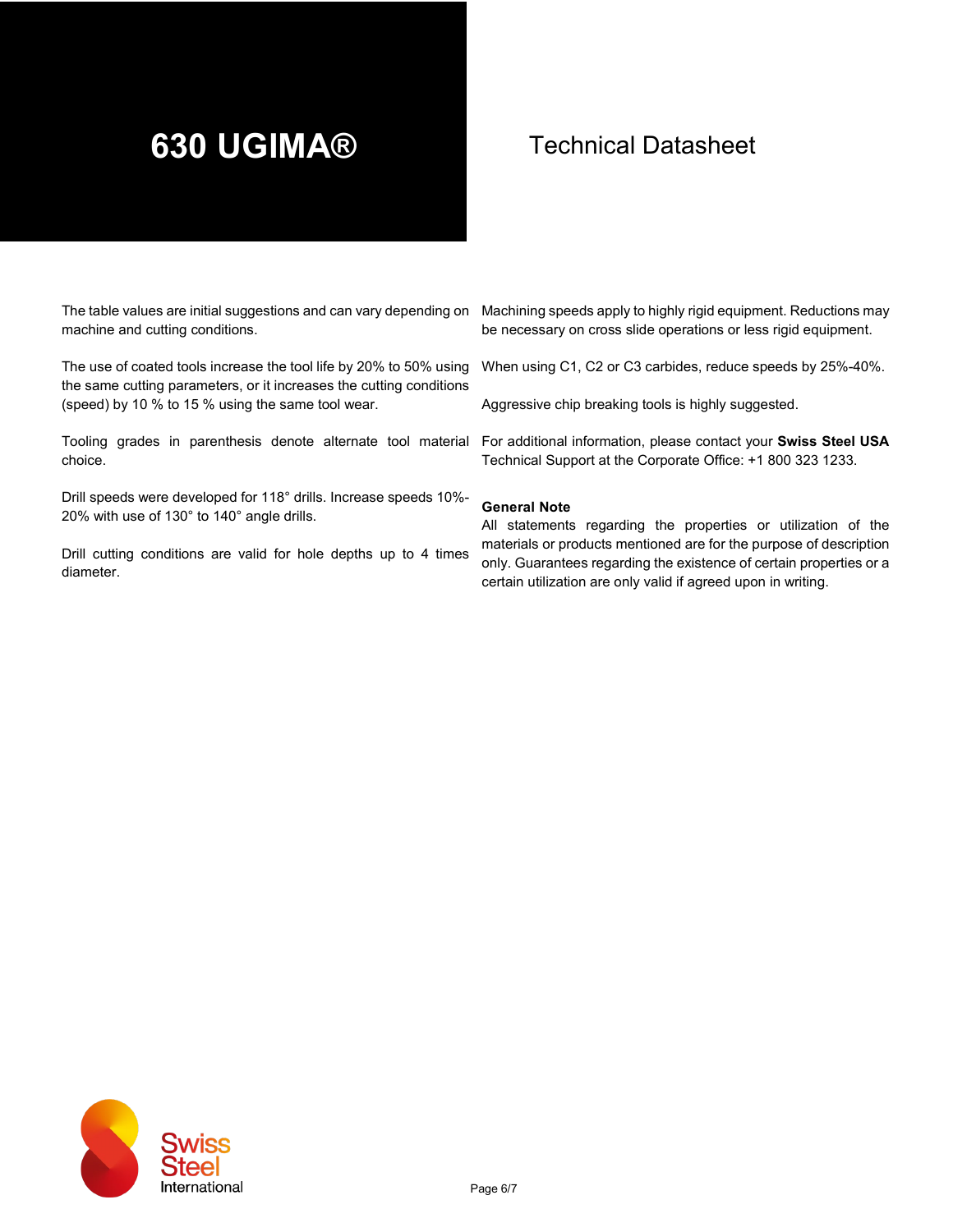machine and cutting conditions.

The use of coated tools increase the tool life by 20% to 50% using the same cutting parameters, or it increases the cutting conditions (speed) by 10 % to 15 % using the same tool wear.

Tooling grades in parenthesis denote alternate tool material For additional information, please contact your **Swiss Steel USA** choice.

Drill speeds were developed for 118° drills. Increase speeds 10%- 20% with use of 130° to 140° angle drills.

Drill cutting conditions are valid for hole depths up to 4 times diameter.

The table values are initial suggestions and can vary depending on Machining speeds apply to highly rigid equipment. Reductions may be necessary on cross slide operations or less rigid equipment.

When using C1, C2 or C3 carbides, reduce speeds by 25%-40%.

Aggressive chip breaking tools is highly suggested.

Technical Support at the Corporate Office: +1 800 323 1233.

#### **General Note**

All statements regarding the properties or utilization of the materials or products mentioned are for the purpose of description only. Guarantees regarding the existence of certain properties or a certain utilization are only valid if agreed upon in writing.